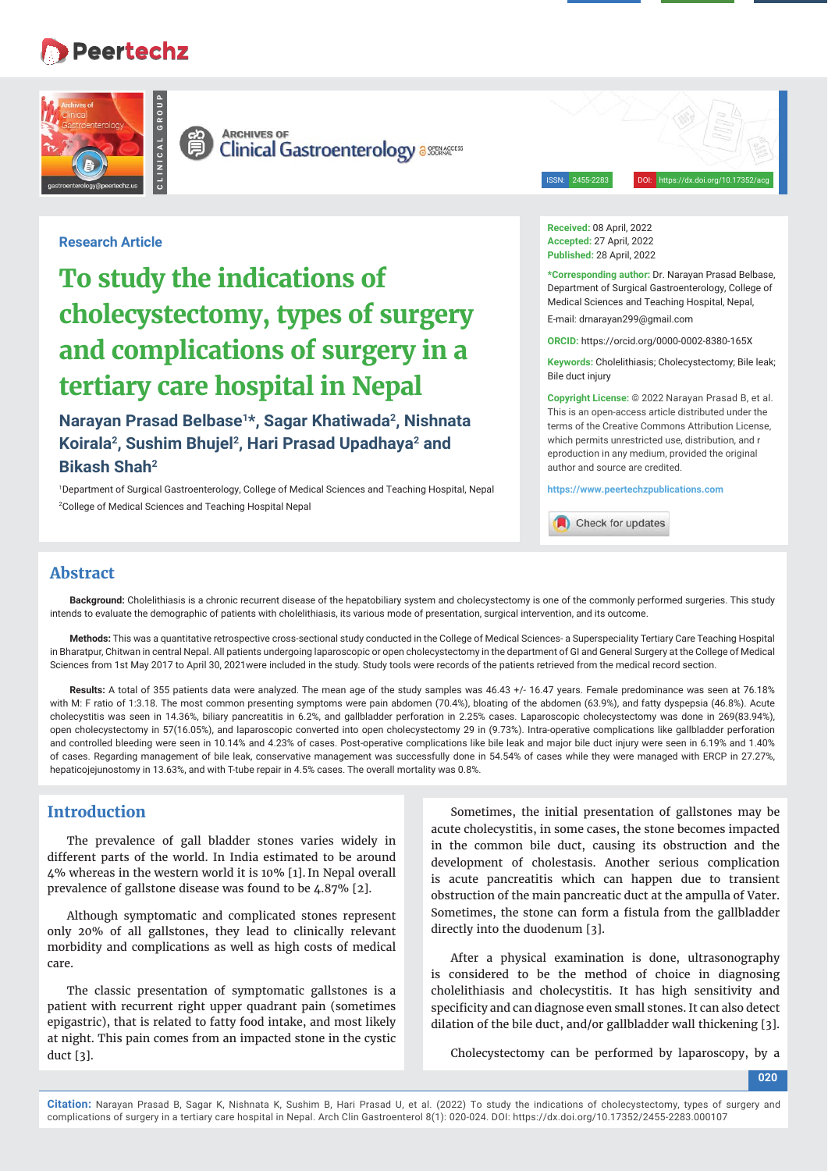# **Peertechz**





**ARCHIVES OF**<br>**Clinical Gastroenterology** assenters

ISSN: 2455-2283 DOI: https://dx.doi.org/10.17352/acg

# **Research Article**

# **To study the indications of cholecystectomy, types of surgery and complications of surgery in a tertiary care hospital in Nepal**

**Narayan Prasad Belbase1\*, Sagar Khatiwada2, Nishnata Koirala2, Sushim Bhujel2, Hari Prasad Upadhaya2 and Bikash Shah2**

1 Department of Surgical Gastroenterology, College of Medical Sciences and Teaching Hospital, Nepal 2 College of Medical Sciences and Teaching Hospital Nepal

**Received:** 08 April, 2022 **Accepted:** 27 April, 2022 **Published:** 28 April, 2022

**\*Corresponding author:** Dr. Narayan Prasad Belbase, Department of Surgical Gastroenterology, College of Medical Sciences and Teaching Hospital, Nepal, E-mail: drnarayan299@gmail.com

**ORCID:** https://orcid.org/0000-0002-8380-165X

**Keywords:** Cholelithiasis; Cholecystectomy; Bile leak; Bile duct injury

**Copyright License:** © 2022 Narayan Prasad B, et al. This is an open-access article distributed under the terms of the Creative Commons Attribution License, which permits unrestricted use, distribution, and r eproduction in any medium, provided the original author and source are credited.

**https://www.peertechzpublications.com**

Check for updates

# **Abstract**

**Background:** Cholelithiasis is a chronic recurrent disease of the hepatobiliary system and cholecystectomy is one of the commonly performed surgeries. This study intends to evaluate the demographic of patients with cholelithiasis, its various mode of presentation, surgical intervention, and its outcome.

**Methods:** This was a quantitative retrospective cross-sectional study conducted in the College of Medical Sciences- a Superspeciality Tertiary Care Teaching Hospital in Bharatpur, Chitwan in central Nepal. All patients undergoing laparoscopic or open cholecystectomy in the department of GI and General Surgery at the College of Medical Sciences from 1st May 2017 to April 30, 2021were included in the study. Study tools were records of the patients retrieved from the medical record section.

**Results:** A total of 355 patients data were analyzed. The mean age of the study samples was 46.43 +/- 16.47 years. Female predominance was seen at 76.18% with M: F ratio of 1:3.18. The most common presenting symptoms were pain abdomen (70.4%), bloating of the abdomen (63.9%), and fatty dyspepsia (46.8%). Acute cholecystitis was seen in 14.36%, biliary pancreatitis in 6.2%, and gallbladder perforation in 2.25% cases. Laparoscopic cholecystectomy was done in 269(83.94%), open cholecystectomy in 57(16.05%), and laparoscopic converted into open cholecystectomy 29 in (9.73%). Intra-operative complications like gallbladder perforation and controlled bleeding were seen in 10.14% and 4.23% of cases. Post-operative complications like bile leak and major bile duct injury were seen in 6.19% and 1.40% of cases. Regarding management of bile leak, conservative management was successfully done in 54.54% of cases while they were managed with ERCP in 27.27%, hepaticojejunostomy in 13.63%, and with T-tube repair in 4.5% cases. The overall mortality was 0.8%.

# **Introduction**

The prevalence of gall bladder stones varies widely in different parts of the world. In India estimated to be around 4% whereas in the western world it is 10% [1]. In Nepal overall prevalence of gallstone disease was found to be 4.87% [2].

Although symptomatic and complicated stones represent only 20% of all gallstones, they lead to clinically relevant morbidity and complications as well as high costs of medical care.

The classic presentation of symptomatic gallstones is a patient with recurrent right upper quadrant pain (sometimes epigastric), that is related to fatty food intake, and most likely at night. This pain comes from an impacted stone in the cystic duct [3].

Sometimes, the initial presentation of gallstones may be acute cholecystitis, in some cases, the stone becomes impacted in the common bile duct, causing its obstruction and the development of cholestasis. Another serious complication is acute pancreatitis which can happen due to transient obstruction of the main pancreatic duct at the ampulla of Vater. Sometimes, the stone can form a fistula from the gallbladder directly into the duodenum [3].

After a physical examination is done, ultrasonography is considered to be the method of choice in diagnosing cholelithiasis and cholecystitis. It has high sensitivity and specificity and can diagnose even small stones. It can also detect dilation of the bile duct, and/or gallbladder wall thickening [3].

Cholecystectomy can be performed by laparoscopy, by a

**020**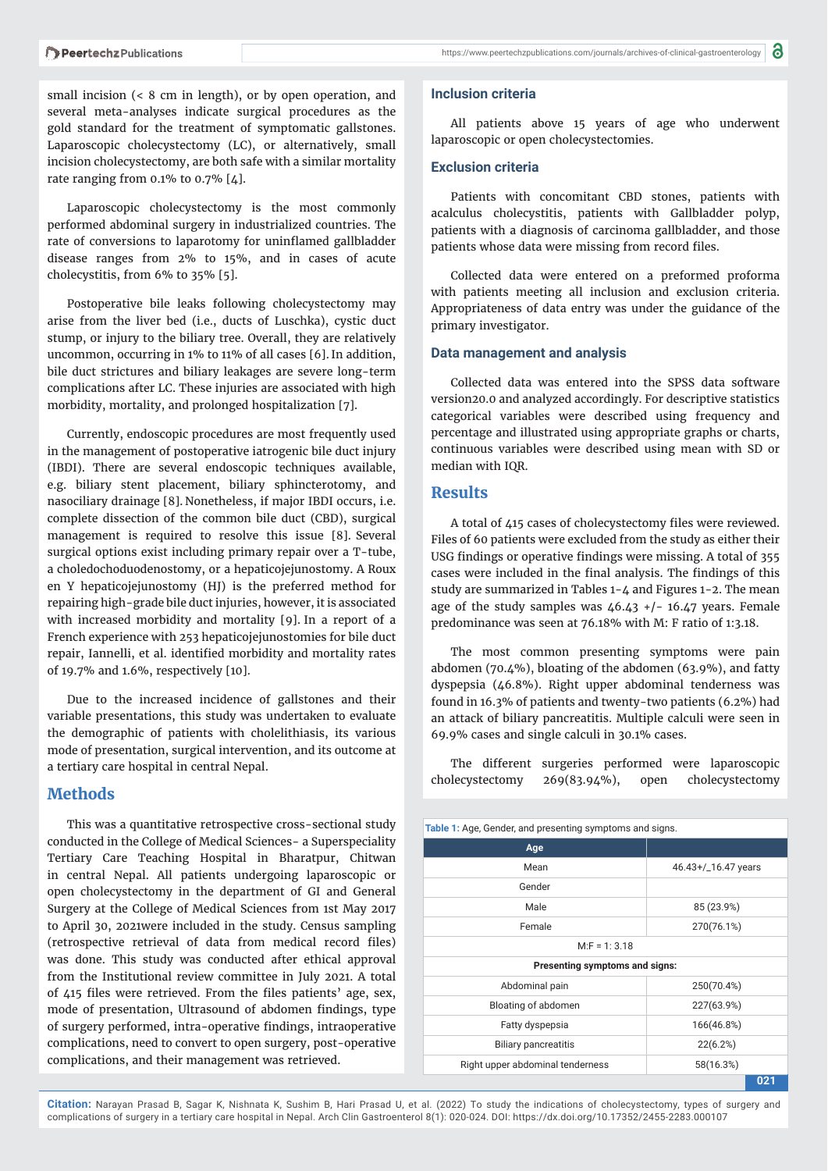https://www.peertechzpublications.com/journals/archives-of-clinical-gastroenterology |  $\bigcirc$ 

small incision (< 8 cm in length), or by open operation, and several meta-analyses indicate surgical procedures as the gold standard for the treatment of symptomatic gallstones. Laparoscopic cholecystectomy (LC), or alternatively, small incision cholecystectomy, are both safe with a similar mortality rate ranging from  $0.1\%$  to  $0.7\%$  [4].

Laparoscopic cholecystectomy is the most commonly performed abdominal surgery in industrialized countries. The rate of conversions to laparotomy for uninflamed gallbladder disease ranges from 2% to 15%, and in cases of acute cholecystitis, from 6% to 35% [5].

Postoperative bile leaks following cholecystectomy may arise from the liver bed (i.e., ducts of Luschka), cystic duct stump, or injury to the biliary tree. Overall, they are relatively uncommon, occurring in 1% to 11% of all cases [6]. In addition, bile duct strictures and biliary leakages are severe long-term complications after LC. These injuries are associated with high morbidity, mortality, and prolonged hospitalization [7].

Currently, endoscopic procedures are most frequently used in the management of postoperative iatrogenic bile duct injury (IBDI). There are several endoscopic techniques available, e.g. biliary stent placement, biliary sphincterotomy, and nasociliary drainage [8]. Nonetheless, if major IBDI occurs, i.e. complete dissection of the common bile duct (CBD), surgical management is required to resolve this issue [8]. Several surgical options exist including primary repair over a T-tube, a choledochoduodenostomy, or a hepaticojejunostomy. A Roux en Y hepaticojejunostomy (HJ) is the preferred method for repairing high-grade bile duct injuries, however, it is associated with increased morbidity and mortality [9]. In a report of a French experience with 253 hepaticojejunostomies for bile duct repair, Iannelli, et al. identified morbidity and mortality rates of 19.7% and 1.6%, respectively [10].

Due to the increased incidence of gallstones and their variable presentations, this study was undertaken to evaluate the demographic of patients with cholelithiasis, its various mode of presentation, surgical intervention, and its outcome at a tertiary care hospital in central Nepal.

# **Methods**

This was a quantitative retrospective cross-sectional study conducted in the College of Medical Sciences- a Superspeciality Tertiary Care Teaching Hospital in Bharatpur, Chitwan in central Nepal. All patients undergoing laparoscopic or open cholecystectomy in the department of GI and General Surgery at the College of Medical Sciences from 1st May 2017 to April 30, 2021were included in the study. Census sampling (retrospective retrieval of data from medical record files) was done. This study was conducted after ethical approval from the Institutional review committee in July 2021. A total of 415 files were retrieved. From the files patients' age, sex, mode of presentation, Ultrasound of abdomen findings, type of surgery performed, intra-operative findings, intraoperative complications, need to convert to open surgery, post-operative complications, and their management was retrieved.

#### **Inclusion criteria**

All patients above 15 years of age who underwent laparoscopic or open cholecystectomies.

#### **Exclusion criteria**

Patients with concomitant CBD stones, patients with acalculus cholecystitis, patients with Gallbladder polyp, patients with a diagnosis of carcinoma gallbladder, and those patients whose data were missing from record files.

Collected data were entered on a preformed proforma with patients meeting all inclusion and exclusion criteria. Appropriateness of data entry was under the guidance of the primary investigator.

#### **Data management and analysis**

Collected data was entered into the SPSS data software version20.0 and analyzed accordingly. For descriptive statistics categorical variables were described using frequency and percentage and illustrated using appropriate graphs or charts, continuous variables were described using mean with SD or median with IQR.

# **Results**

A total of 415 cases of cholecystectomy files were reviewed. Files of 60 patients were excluded from the study as either their USG findings or operative findings were missing. A total of 355 cases were included in the final analysis. The findings of this study are summarized in Tables 1-4 and Figures 1-2. The mean age of the study samples was  $46.43$  +/- 16.47 years. Female predominance was seen at 76.18% with M: F ratio of 1:3.18.

The most common presenting symptoms were pain abdomen (70.4%), bloating of the abdomen (63.9%), and fatty dyspepsia (46.8%). Right upper abdominal tenderness was found in 16.3% of patients and twenty-two patients (6.2%) had an attack of biliary pancreatitis. Multiple calculi were seen in 69.9% cases and single calculi in 30.1% cases.

The different surgeries performed were laparoscopic cholecystectomy 269(83.94%), open cholecystectomy

| Table 1: Age, Gender, and presenting symptoms and signs. |                     |  |
|----------------------------------------------------------|---------------------|--|
| Age                                                      |                     |  |
| Mean                                                     | 46.43+/_16.47 years |  |
| Gender                                                   |                     |  |
| Male                                                     | 85 (23.9%)          |  |
| Female                                                   | 270(76.1%)          |  |
| $M.F = 1: 3.18$                                          |                     |  |
| Presenting symptoms and signs:                           |                     |  |
| Abdominal pain                                           | 250(70.4%)          |  |
| Bloating of abdomen                                      | 227(63.9%)          |  |
| Fatty dyspepsia                                          | 166(46.8%)          |  |
| <b>Biliary pancreatitis</b>                              | 22(6.2%)            |  |
| Right upper abdominal tenderness                         | 58(16.3%)           |  |
|                                                          | 021                 |  |

**Citation:** Narayan Prasad B, Sagar K, Nishnata K, Sushim B, Hari Prasad U, et al. (2022) To study the indications of cholecystectomy, types of surgery and complications of surgery in a tertiary care hospital in Nepal. Arch Clin Gastroenterol 8(1): 020-024. DOI: https://dx.doi.org/10.17352/2455-2283.000107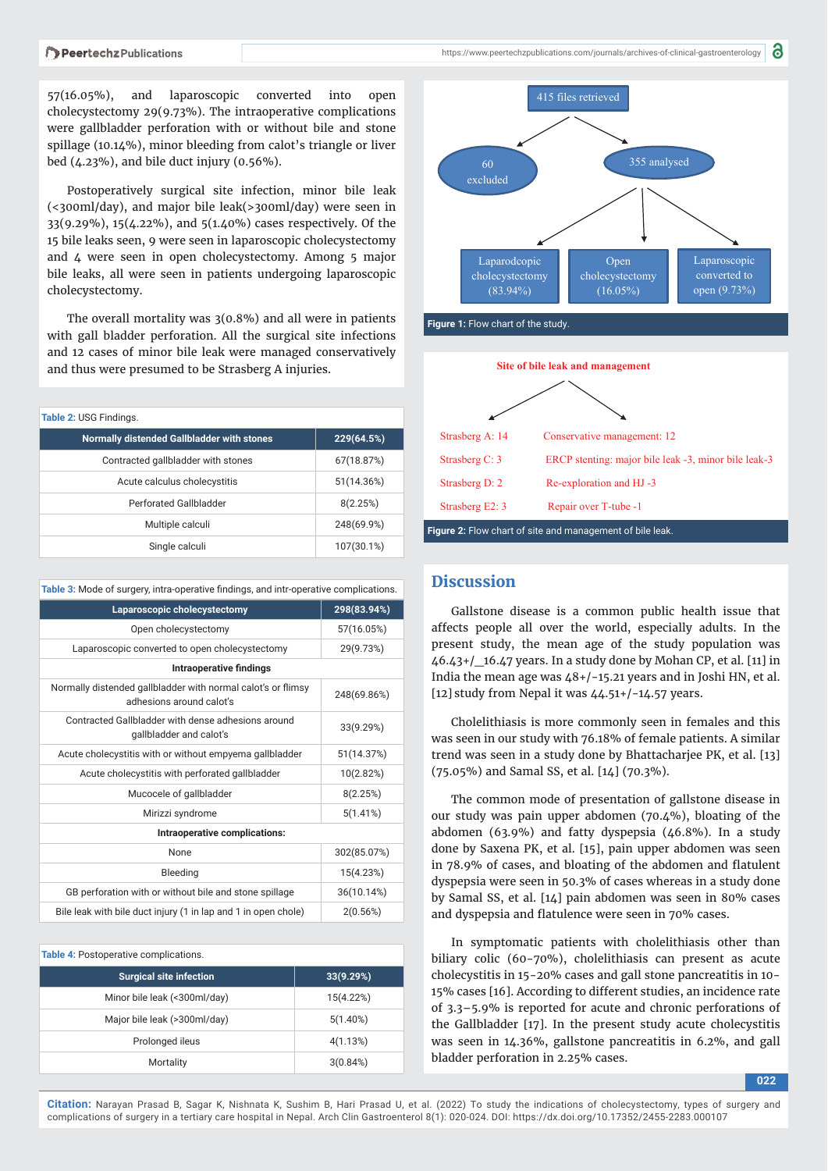57(16.05%), and laparoscopic converted into open cholecystectomy 29(9.73%). The intraoperative complications were gallbladder perforation with or without bile and stone spillage (10.14%), minor bleeding from calot's triangle or liver bed (4.23%), and bile duct injury (0.56%).

Postoperatively surgical site infection, minor bile leak (<300ml/day), and major bile leak(>300ml/day) were seen in 33(9.29%), 15(4.22%), and 5(1.40%) cases respectively. Of the 15 bile leaks seen, 9 were seen in laparoscopic cholecystectomy and 4 were seen in open cholecystectomy. Among 5 major bile leaks, all were seen in patients undergoing laparoscopic cholecystectomy.

The overall mortality was 3(0.8%) and all were in patients with gall bladder perforation. All the surgical site infections and 12 cases of minor bile leak were managed conservatively and thus were presumed to be Strasberg A injuries.

| Table 2: USG Findings.                     |            |  |
|--------------------------------------------|------------|--|
| Normally distended Gallbladder with stones | 229(64.5%) |  |
| Contracted gallbladder with stones         | 67(18.87%) |  |
| Acute calculus cholecystitis               | 51(14.36%) |  |
| <b>Perforated Gallbladder</b>              | 8(2.25%)   |  |
| Multiple calculi                           | 248(69.9%) |  |
| Single calculi                             | 107(30.1%) |  |

| Table 3: Mode of surgery, intra-operative findings, and intr-operative complications.    |             |  |
|------------------------------------------------------------------------------------------|-------------|--|
| Laparoscopic cholecystectomy                                                             | 298(83.94%) |  |
| Open cholecystectomy                                                                     | 57(16.05%)  |  |
| Laparoscopic converted to open cholecystectomy                                           | 29(9.73%)   |  |
| <b>Intraoperative findings</b>                                                           |             |  |
| Normally distended gallbladder with normal calot's or flimsy<br>adhesions around calot's | 248(69.86%) |  |
| Contracted Gallbladder with dense adhesions around<br>gallbladder and calot's            | 33(9.29%)   |  |
| Acute cholecystitis with or without empyema gallbladder                                  | 51(14.37%)  |  |
| Acute cholecystitis with perforated gallbladder                                          | 10(2.82%)   |  |
| Mucocele of gallbladder                                                                  | 8(2.25%)    |  |
| Mirizzi syndrome                                                                         | 5(1.41%)    |  |
| Intraoperative complications:                                                            |             |  |
| <b>None</b>                                                                              | 302(85.07%) |  |
| Bleeding                                                                                 | 15(4.23%)   |  |
| GB perforation with or without bile and stone spillage                                   | 36(10.14%)  |  |
| Bile leak with bile duct injury (1 in lap and 1 in open chole)                           | 2(0.56%)    |  |

| Table 4: Postoperative complications. |             |  |
|---------------------------------------|-------------|--|
| <b>Surgical site infection</b>        | 33(9.29%)   |  |
| Minor bile leak (<300ml/day)          | 15(4.22%)   |  |
| Major bile leak (>300ml/day)          | $5(1.40\%)$ |  |
| Prolonged ileus                       | 4(1.13%)    |  |
| Mortality                             | 3(0.84%)    |  |



**Figure 1:** Flow chart of the study.



## **Discussion**

Gallstone disease is a common public health issue that affects people all over the world, especially adults. In the present study, the mean age of the study population was  $46.43+$ /  $16.47$  years. In a study done by Mohan CP, et al. [11] in India the mean age was 48+/-15.21 years and in Joshi HN, et al. [12] study from Nepal it was  $44.51+/-14.57$  years.

Cholelithiasis is more commonly seen in females and this was seen in our study with 76.18% of female patients. A similar trend was seen in a study done by Bhattacharjee PK, et al. [13] (75.05%) and Samal SS, et al. [14] (70.3%).

The common mode of presentation of gallstone disease in our study was pain upper abdomen (70.4%), bloating of the abdomen (63.9%) and fatty dyspepsia (46.8%). In a study done by Saxena PK, et al. [15], pain upper abdomen was seen in 78.9% of cases, and bloating of the abdomen and flatulent dyspepsia were seen in 50.3% of cases whereas in a study done by Samal SS, et al. [14] pain abdomen was seen in 80% cases and dyspepsia and flatulence were seen in 70% cases.

In symptomatic patients with cholelithiasis other than biliary colic (60-70%), cholelithiasis can present as acute cholecystitis in 15-20% cases and gall stone pancreatitis in 10- 15% cases [16]. According to different studies, an incidence rate of 3.3–5.9% is reported for acute and chronic perforations of the Gallbladder [17]. In the present study acute cholecystitis was seen in 14.36%, gallstone pancreatitis in 6.2%, and gall bladder perforation in 2.25% cases.

**022**

**Citation:** Narayan Prasad B, Sagar K, Nishnata K, Sushim B, Hari Prasad U, et al. (2022) To study the indications of cholecystectomy, types of surgery and complications of surgery in a tertiary care hospital in Nepal. Arch Clin Gastroenterol 8(1): 020-024. DOI: https://dx.doi.org/10.17352/2455-2283.000107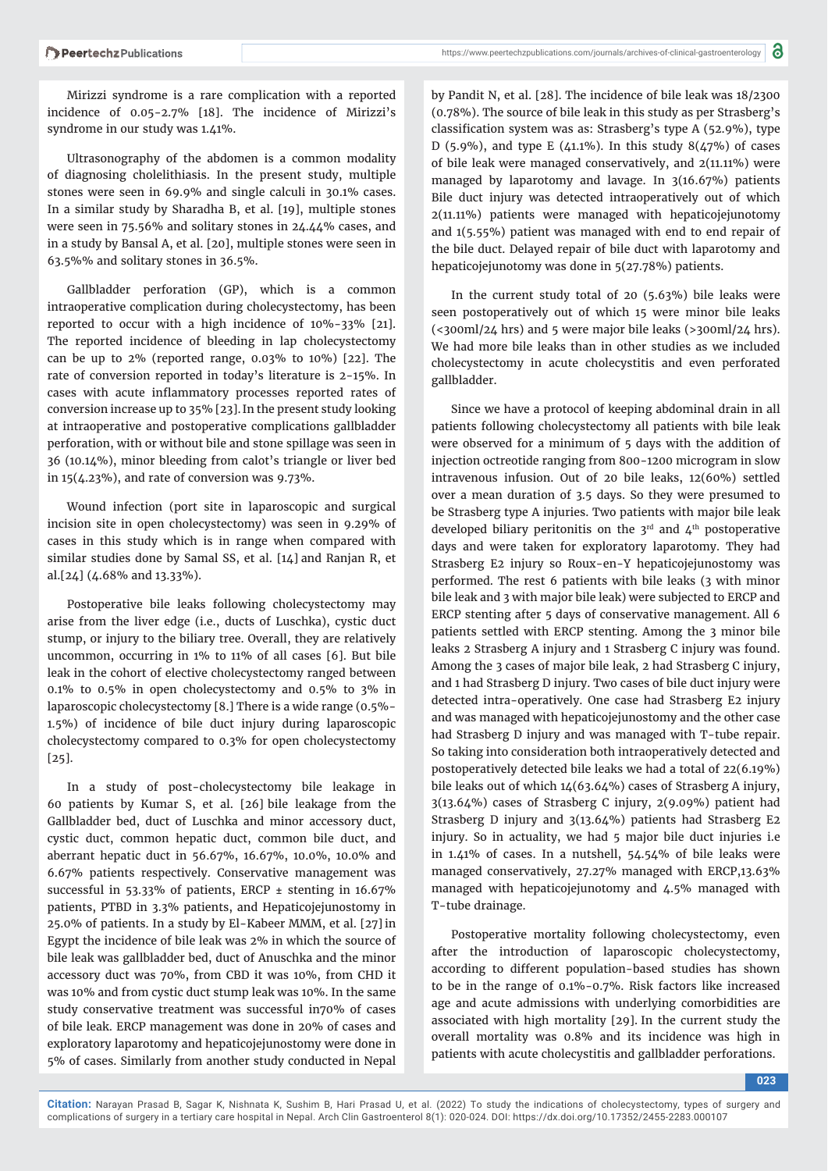Mirizzi syndrome is a rare complication with a reported incidence of 0.05-2.7% [18]. The incidence of Mirizzi's syndrome in our study was 1.41%.

Ultrasonography of the abdomen is a common modality of diagnosing cholelithiasis. In the present study, multiple stones were seen in 69.9% and single calculi in 30.1% cases. In a similar study by Sharadha B, et al. [19], multiple stones were seen in 75.56% and solitary stones in 24.44% cases, and in a study by Bansal A, et al. [20], multiple stones were seen in 63.5%% and solitary stones in 36.5%.

Gallbladder perforation (GP), which is a common intraoperative complication during cholecystectomy, has been reported to occur with a high incidence of 10%-33% [21]. The reported incidence of bleeding in lap cholecystectomy can be up to 2% (reported range, 0.03% to 10%) [22]. The rate of conversion reported in today's literature is 2-15%. In cases with acute inflammatory processes reported rates of conversion increase up to 35% [23]. In the present study looking at intraoperative and postoperative complications gallbladder perforation, with or without bile and stone spillage was seen in 36 (10.14%), minor bleeding from calot's triangle or liver bed in 15(4.23%), and rate of conversion was 9.73%.

Wound infection (port site in laparoscopic and surgical incision site in open cholecystectomy) was seen in 9.29% of cases in this study which is in range when compared with similar studies done by Samal SS, et al. [14] and Ranjan R, et al.[24] (4.68% and 13.33%).

Postoperative bile leaks following cholecystectomy may arise from the liver edge (i.e., ducts of Luschka), cystic duct stump, or injury to the biliary tree. Overall, they are relatively uncommon, occurring in 1% to 11% of all cases [6]. But bile leak in the cohort of elective cholecystectomy ranged between 0.1% to 0.5% in open cholecystectomy and 0.5% to 3% in laparoscopic cholecystectomy [8.] There is a wide range (0.5%- 1.5%) of incidence of bile duct injury during laparoscopic cholecystectomy compared to 0.3% for open cholecystectomy [25].

In a study of post-cholecystectomy bile leakage in 60 patients by Kumar S, et al. [26] bile leakage from the Gallbladder bed, duct of Luschka and minor accessory duct, cystic duct, common hepatic duct, common bile duct, and aberrant hepatic duct in 56.67%, 16.67%, 10.0%, 10.0% and 6.67% patients respectively. Conservative management was successful in 53.33% of patients, ERCP ± stenting in 16.67% patients, PTBD in 3.3% patients, and Hepaticojejunostomy in 25.0% of patients. In a study by El-Kabeer MMM, et al. [27] in Egypt the incidence of bile leak was 2% in which the source of bile leak was gallbladder bed, duct of Anuschka and the minor accessory duct was 70%, from CBD it was 10%, from CHD it was 10% and from cystic duct stump leak was 10%. In the same study conservative treatment was successful in70% of cases of bile leak. ERCP management was done in 20% of cases and exploratory laparotomy and hepaticojejunostomy were done in 5% of cases. Similarly from another study conducted in Nepal

by Pandit N, et al. [28]. The incidence of bile leak was 18/2300 (0.78%). The source of bile leak in this study as per Strasberg's classification system was as: Strasberg's type A (52.9%), type D (5.9%), and type E (41.1%). In this study  $8(47\%)$  of cases of bile leak were managed conservatively, and 2(11.11%) were managed by laparotomy and lavage. In 3(16.67%) patients Bile duct injury was detected intraoperatively out of which 2(11.11%) patients were managed with hepaticojejunotomy and 1(5.55%) patient was managed with end to end repair of the bile duct. Delayed repair of bile duct with laparotomy and hepaticojejunotomy was done in 5(27.78%) patients.

In the current study total of 20 (5.63%) bile leaks were seen postoperatively out of which 15 were minor bile leaks (<300ml/24 hrs) and 5 were major bile leaks (>300ml/24 hrs). We had more bile leaks than in other studies as we included cholecystectomy in acute cholecystitis and even perforated gallbladder.

Since we have a protocol of keeping abdominal drain in all patients following cholecystectomy all patients with bile leak were observed for a minimum of 5 days with the addition of injection octreotide ranging from 800-1200 microgram in slow intravenous infusion. Out of 20 bile leaks, 12(60%) settled over a mean duration of 3.5 days. So they were presumed to be Strasberg type A injuries. Two patients with major bile leak developed biliary peritonitis on the  $3<sup>rd</sup>$  and  $4<sup>th</sup>$  postoperative days and were taken for exploratory laparotomy. They had Strasberg E2 injury so Roux-en-Y hepaticojejunostomy was performed. The rest 6 patients with bile leaks (3 with minor bile leak and 3 with major bile leak) were subjected to ERCP and ERCP stenting after 5 days of conservative management. All 6 patients settled with ERCP stenting. Among the 3 minor bile leaks 2 Strasberg A injury and 1 Strasberg C injury was found. Among the 3 cases of major bile leak, 2 had Strasberg C injury, and 1 had Strasberg D injury. Two cases of bile duct injury were detected intra-operatively. One case had Strasberg E2 injury and was managed with hepaticojejunostomy and the other case had Strasberg D injury and was managed with T-tube repair. So taking into consideration both intraoperatively detected and postoperatively detected bile leaks we had a total of 22(6.19%) bile leaks out of which 14(63.64%) cases of Strasberg A injury, 3(13.64%) cases of Strasberg C injury, 2(9.09%) patient had Strasberg D injury and 3(13.64%) patients had Strasberg E2 injury. So in actuality, we had 5 major bile duct injuries i.e in 1.41% of cases. In a nutshell, 54.54% of bile leaks were managed conservatively, 27.27% managed with ERCP,13.63% managed with hepaticojejunotomy and 4.5% managed with T-tube drainage.

Postoperative mortality following cholecystectomy, even after the introduction of laparoscopic cholecystectomy, according to different population-based studies has shown to be in the range of 0.1%-0.7%. Risk factors like increased age and acute admissions with underlying comorbidities are associated with high mortality [29]. In the current study the overall mortality was 0.8% and its incidence was high in patients with acute cholecystitis and gallbladder perforations.

**023**